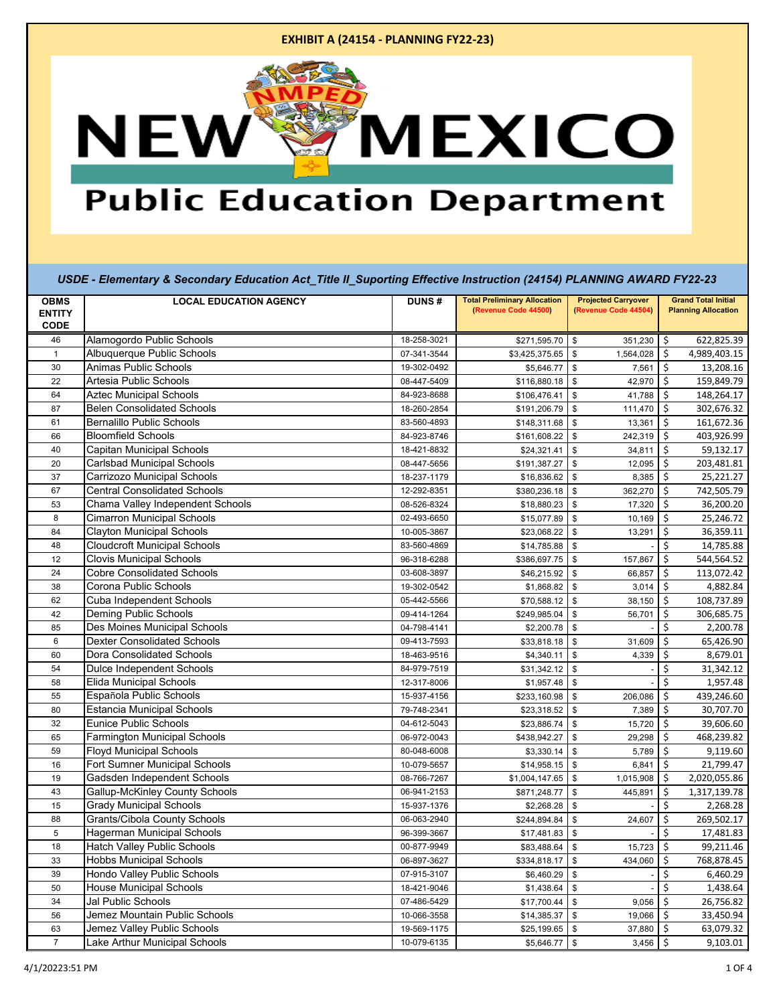| (Revenue Code 44500)<br>(Revenue Code 44504)<br><b>ENTITY</b><br><b>CODE</b><br>Alamogordo Public Schools<br>46<br>18-258-3021<br>\$<br>\$271,595.70<br>\$<br>351,230<br>Albuquerque Public Schools<br>\$<br>$\mathbf{1}$<br>07-341-3544<br>\$3,425,375.65<br>\$<br>1,564,028<br>Animas Public Schools<br>30<br>$\mathsf{\$}$<br>Ś<br>19-302-0492<br>7,561<br>\$5,646.77<br>Artesia Public Schools<br>22<br>\$<br>08-447-5409<br>\$<br>42,970<br>\$116,880.18 | <b>Planning Allocation</b><br>622,825.39<br>4,989,403.15<br>13,208.16<br>159,849.79<br>148,264.17<br>302,676.32<br>161,672.36<br>403,926.99<br>59,132.17 |
|---------------------------------------------------------------------------------------------------------------------------------------------------------------------------------------------------------------------------------------------------------------------------------------------------------------------------------------------------------------------------------------------------------------------------------------------------------------|----------------------------------------------------------------------------------------------------------------------------------------------------------|
|                                                                                                                                                                                                                                                                                                                                                                                                                                                               |                                                                                                                                                          |
|                                                                                                                                                                                                                                                                                                                                                                                                                                                               |                                                                                                                                                          |
|                                                                                                                                                                                                                                                                                                                                                                                                                                                               |                                                                                                                                                          |
|                                                                                                                                                                                                                                                                                                                                                                                                                                                               |                                                                                                                                                          |
|                                                                                                                                                                                                                                                                                                                                                                                                                                                               |                                                                                                                                                          |
|                                                                                                                                                                                                                                                                                                                                                                                                                                                               |                                                                                                                                                          |
| <b>Aztec Municipal Schools</b><br>41,788<br>\$<br>64<br>84-923-8688<br>\$106,476.41<br>\$                                                                                                                                                                                                                                                                                                                                                                     |                                                                                                                                                          |
| <b>Belen Consolidated Schools</b><br>\$<br>\$<br>111,470<br>87<br>18-260-2854<br>\$191,206.79                                                                                                                                                                                                                                                                                                                                                                 |                                                                                                                                                          |
| <b>Bernalillo Public Schools</b><br>61<br>83-560-4893<br>\$<br>\$148,311.68<br>\$<br>13,361                                                                                                                                                                                                                                                                                                                                                                   |                                                                                                                                                          |
| <b>Bloomfield Schools</b><br>Ś<br>66<br>84-923-8746<br>\$<br>242,319<br>\$161,608.22                                                                                                                                                                                                                                                                                                                                                                          |                                                                                                                                                          |
| 40<br>Capitan Municipal Schools<br>34,811<br>\$<br>18-421-8832<br>\$24,321.41<br>\$                                                                                                                                                                                                                                                                                                                                                                           |                                                                                                                                                          |
| <b>Carlsbad Municipal Schools</b><br>\$<br>Ś<br>20<br>08-447-5656<br>\$191,387.27<br>12,095                                                                                                                                                                                                                                                                                                                                                                   | 203,481.81                                                                                                                                               |
| Carrizozo Municipal Schools<br>\$<br>37<br>\$16,836.62<br>\$<br>8,385<br>18-237-1179                                                                                                                                                                                                                                                                                                                                                                          | 25,221.27                                                                                                                                                |
| <b>Central Consolidated Schools</b><br>Ś<br>67<br>\$<br>362,270<br>12-292-8351<br>\$380,236.18                                                                                                                                                                                                                                                                                                                                                                | 742,505.79                                                                                                                                               |
| Chama Valley Independent Schools<br>53<br>08-526-8324<br>\$<br>17,320<br>\$<br>\$18,880.23                                                                                                                                                                                                                                                                                                                                                                    | 36,200.20                                                                                                                                                |
| <b>Cimarron Municipal Schools</b><br>8<br>\$<br>02-493-6650<br>\$15,077.89<br>\$<br>10,169                                                                                                                                                                                                                                                                                                                                                                    | 25,246.72                                                                                                                                                |
| <b>Clayton Municipal Schools</b><br>\$<br>84<br>10-005-3867<br>\$<br>13,291<br>\$23,068.22                                                                                                                                                                                                                                                                                                                                                                    | 36,359.11                                                                                                                                                |
| <b>Cloudcroft Municipal Schools</b><br>\$<br>$\mathfrak s$<br>48<br>\$14,785.88<br>83-560-4869                                                                                                                                                                                                                                                                                                                                                                | 14,785.88                                                                                                                                                |
| <b>Clovis Municipal Schools</b><br>\$<br>12<br>\$<br>157,867<br>96-318-6288<br>\$386,697.75                                                                                                                                                                                                                                                                                                                                                                   | 544,564.52                                                                                                                                               |
| <b>Cobre Consolidated Schools</b><br>24<br>\$<br>03-608-3897<br>66,857<br>\$46,215.92<br>\$                                                                                                                                                                                                                                                                                                                                                                   | 113,072.42                                                                                                                                               |
| 38<br>Corona Public Schools<br>\$<br>\$<br>19-302-0542<br>3,014<br>\$1,868.82                                                                                                                                                                                                                                                                                                                                                                                 | 4,882.84                                                                                                                                                 |
| Cuba Independent Schools<br>62<br>$$\mathbb{S}$$<br>\$<br>05-442-5566<br>\$70,588.12<br>38,150                                                                                                                                                                                                                                                                                                                                                                | 108,737.89                                                                                                                                               |
| Deming Public Schools<br>\$<br>42<br>\$<br>56,701<br>09-414-1264<br>\$249,985.04                                                                                                                                                                                                                                                                                                                                                                              | 306,685.75                                                                                                                                               |
| Des Moines Municipal Schools<br>\$<br>\$<br>85<br>04-798-4141<br>\$2,200.78                                                                                                                                                                                                                                                                                                                                                                                   | 2,200.78                                                                                                                                                 |
| 6<br><b>Dexter Consolidated Schools</b><br>09-413-7593<br>\$<br>\$33,818.18<br>\$<br>31,609                                                                                                                                                                                                                                                                                                                                                                   | 65,426.90                                                                                                                                                |
| Dora Consolidated Schools<br>\$<br>60<br>18-463-9516<br>\$<br>4,339<br>\$4,340.11                                                                                                                                                                                                                                                                                                                                                                             | 8,679.01                                                                                                                                                 |
| <b>Dulce Independent Schools</b><br>\$<br>54<br>$\mathfrak s$<br>84-979-7519<br>\$31,342.12                                                                                                                                                                                                                                                                                                                                                                   | 31,342.12                                                                                                                                                |
| \$<br>Elida Municipal Schools<br>58<br>12-317-8006<br>\$<br>\$1,957.48                                                                                                                                                                                                                                                                                                                                                                                        | 1,957.48                                                                                                                                                 |
| Española Public Schools<br>\$<br>55<br>\$<br>15-937-4156<br>\$233,160.98<br>206,086                                                                                                                                                                                                                                                                                                                                                                           | 439,246.60                                                                                                                                               |
| <b>Estancia Municipal Schools</b><br>$\mathsf{\$}$<br>\$<br>80<br>79-748-2341<br>\$23,318.52<br>7,389                                                                                                                                                                                                                                                                                                                                                         | 30,707.70                                                                                                                                                |
| Eunice Public Schools<br>\$<br>32<br>04-612-5043<br>\$<br>15,720<br>\$23,886.74                                                                                                                                                                                                                                                                                                                                                                               | 39,606.60                                                                                                                                                |
| <b>Farmington Municipal Schools</b><br>\$<br>65<br>06-972-0043<br>\$<br>\$438,942.27<br>29,298                                                                                                                                                                                                                                                                                                                                                                | 468,239.82                                                                                                                                               |
| <b>Floyd Municipal Schools</b><br>\$<br>59<br>80-048-6008<br>\$<br>\$3,330.14<br>5,789                                                                                                                                                                                                                                                                                                                                                                        | 9,119.60                                                                                                                                                 |
| Fort Sumner Municipal Schools<br>\$<br>16<br>10-079-5657<br>\$14,958.15<br>\$<br>6,841                                                                                                                                                                                                                                                                                                                                                                        | 21,799.47                                                                                                                                                |
| Gadsden Independent Schools<br>$\mathfrak s$<br>\$<br>19<br>08-766-7267<br>\$1,004,147.65<br>1,015,908                                                                                                                                                                                                                                                                                                                                                        | 2,020,055.86                                                                                                                                             |
| <b>Gallup-McKinley County Schools</b><br>43<br>06-941-2153<br>$\mathfrak s$<br>\$<br>\$871,248.77<br>445,891                                                                                                                                                                                                                                                                                                                                                  | 1,317,139.78                                                                                                                                             |
| 15<br><b>Grady Municipal Schools</b><br>\$<br>\$<br>15-937-1376<br>\$2,268.28                                                                                                                                                                                                                                                                                                                                                                                 | 2,268.28                                                                                                                                                 |
| <b>Grants/Cibola County Schools</b><br>\$<br>88<br>06-063-2940<br>\$<br>24,607<br>\$244,894.84                                                                                                                                                                                                                                                                                                                                                                | 269,502.17                                                                                                                                               |
| 5<br>Hagerman Municipal Schools<br>$\mathsf{\$}$<br>Ś<br>\$17,481.83<br>96-399-3667                                                                                                                                                                                                                                                                                                                                                                           | 17,481.83                                                                                                                                                |
| Hatch Valley Public Schools<br>\$<br>18<br>\$<br>00-877-9949<br>\$83,488.64<br>15,723                                                                                                                                                                                                                                                                                                                                                                         | 99,211.46                                                                                                                                                |
| <b>Hobbs Municipal Schools</b><br>\$<br>33<br>06-897-3627<br>\$<br>\$334,818.17<br>434,060                                                                                                                                                                                                                                                                                                                                                                    | 768,878.45                                                                                                                                               |
| \$<br>Hondo Valley Public Schools<br>39<br>\$<br>07-915-3107<br>\$6,460.29                                                                                                                                                                                                                                                                                                                                                                                    | 6,460.29                                                                                                                                                 |
| <b>House Municipal Schools</b><br>\$<br>50<br>\$<br>18-421-9046<br>\$1,438.64                                                                                                                                                                                                                                                                                                                                                                                 | 1,438.64                                                                                                                                                 |
| <b>Jal Public Schools</b><br>$\,$<br>\$<br>34<br>07-486-5429<br>\$17,700.44<br>9,056                                                                                                                                                                                                                                                                                                                                                                          | 26,756.82                                                                                                                                                |
| Jemez Mountain Public Schools<br>\$<br>\$<br>56<br>\$14,385.37<br>19,066<br>10-066-3558                                                                                                                                                                                                                                                                                                                                                                       | 33,450.94                                                                                                                                                |
| Jemez Valley Public Schools<br>\$<br>\$<br>63<br>37,880<br>19-569-1175<br>\$25,199.65                                                                                                                                                                                                                                                                                                                                                                         | 63,079.32                                                                                                                                                |
| $\overline{7}$<br>$\ddot{\mathsf{S}}$<br>Lake Arthur Municipal Schools<br>$$5,646.77$ \$<br>3,456<br>10-079-6135                                                                                                                                                                                                                                                                                                                                              | 9,103.01                                                                                                                                                 |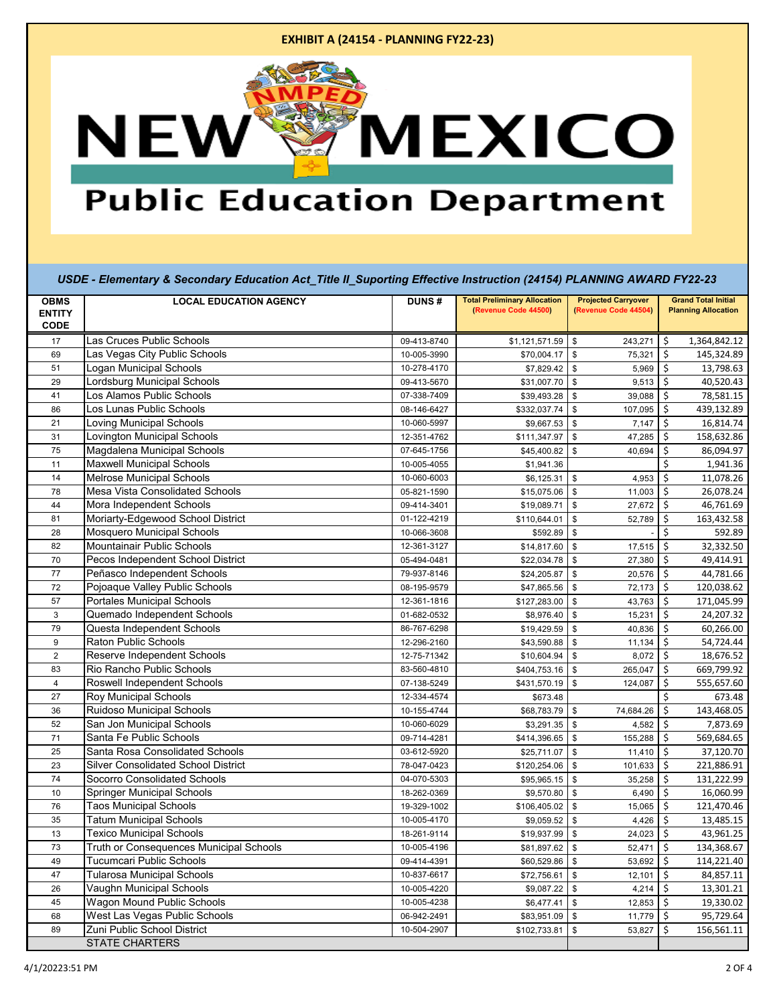| <b>OBMS</b>                  | <b>LOCAL EDUCATION AGENCY</b>              | <b>DUNS#</b> | <b>Total Preliminary Allocation</b><br>(Revenue Code 44500) | <b>Projected Carryover</b><br>(Revenue Code 44504) | <b>Grand Total Initial</b><br><b>Planning Allocation</b> |
|------------------------------|--------------------------------------------|--------------|-------------------------------------------------------------|----------------------------------------------------|----------------------------------------------------------|
| <b>ENTITY</b><br><b>CODE</b> |                                            |              |                                                             |                                                    |                                                          |
| 17                           | Las Cruces Public Schools                  | 09-413-8740  | \$1,121,571.59                                              | \$<br>243,271                                      | \$<br>1,364,842.12                                       |
| 69                           | Las Vegas City Public Schools              | 10-005-3990  | \$70,004.17                                                 | $\mathbf{\$}$<br>75,321                            | \$<br>145,324.89                                         |
| 51                           | <b>Logan Municipal Schools</b>             | 10-278-4170  | \$7,829.42                                                  | \$<br>5,969                                        | \$<br>13,798.63                                          |
| 29                           | <b>Lordsburg Municipal Schools</b>         | 09-413-5670  | \$31,007.70                                                 | $\mathfrak s$<br>9,513                             | \$<br>40,520.43                                          |
| 41                           | Los Alamos Public Schools                  | 07-338-7409  | \$39,493.28                                                 | \$<br>39,088                                       | 78,581.15<br>\$                                          |
| 86                           | Los Lunas Public Schools                   | 08-146-6427  | \$332,037.74                                                | $\mathfrak s$<br>107,095                           | Ŝ.<br>439,132.89                                         |
| 21                           | <b>Loving Municipal Schools</b>            | 10-060-5997  | \$9,667.53                                                  | $\mathfrak s$<br>7,147                             | \$<br>16,814.74                                          |
| 31                           | <b>Lovington Municipal Schools</b>         | 12-351-4762  | \$111,347.97                                                | $\mathbb S$<br>47,285                              | \$<br>158,632.86                                         |
| 75                           | Magdalena Municipal Schools                | 07-645-1756  | \$45,400.82                                                 | 40,694<br>\$                                       | \$<br>86,094.97                                          |
| 11                           | <b>Maxwell Municipal Schools</b>           | 10-005-4055  | \$1,941.36                                                  |                                                    | 1,941.36<br>\$.                                          |
| 14                           | <b>Melrose Municipal Schools</b>           | 10-060-6003  | \$6,125.31                                                  | \$<br>4,953                                        | \$<br>11,078.26                                          |
| 78                           | Mesa Vista Consolidated Schools            | 05-821-1590  | \$15,075.06                                                 | \$<br>11,003                                       | \$<br>26,078.24                                          |
| 44                           | Mora Independent Schools                   | 09-414-3401  | \$19,089.71                                                 | \$<br>27,672                                       | 46,761.69<br>\$                                          |
| 81                           | Moriarty-Edgewood School District          | 01-122-4219  | \$110,644.01                                                | 52,789<br>\$                                       | 163,432.58<br>\$                                         |
| 28                           | <b>Mosquero Municipal Schools</b>          | 10-066-3608  | \$592.89                                                    | $\mathfrak s$                                      | Ś.<br>592.89                                             |
| 82                           | Mountainair Public Schools                 | 12-361-3127  | \$14,817.60                                                 | $\mathfrak s$<br>17,515                            | \$<br>32,332.50                                          |
| 70                           | Pecos Independent School District          | 05-494-0481  | \$22,034.78                                                 | $\mathbf{\$}$<br>27,380                            | Ś<br>49,414.91                                           |
| 77                           | Peñasco Independent Schools                | 79-937-8146  | \$24,205.87                                                 | \$<br>20,576                                       | \$<br>44,781.66                                          |
| 72                           | Pojoaque Valley Public Schools             | 08-195-9579  | \$47,865.56                                                 | $$\mathbb{S}$$<br>72,173                           | Ŝ.<br>120,038.62                                         |
| 57                           | <b>Portales Municipal Schools</b>          | 12-361-1816  | \$127,283.00                                                | \$<br>43,763                                       | \$<br>171,045.99                                         |
| 3                            | Quemado Independent Schools                | 01-682-0532  | \$8,976.40                                                  | \$<br>15,231                                       | \$<br>24,207.32                                          |
| 79                           | Questa Independent Schools                 | 86-767-6298  | \$19,429.59                                                 | \$<br>40,836                                       | \$<br>60,266.00                                          |
| 9                            | Raton Public Schools                       | 12-296-2160  | \$43,590.88                                                 | \$<br>11,134                                       | 54,724.44<br>\$                                          |
| $\overline{2}$               | Reserve Independent Schools                | 12-75-71342  | \$10,604.94                                                 | \$<br>8,072                                        | \$<br>18,676.52                                          |
| 83                           | Rio Rancho Public Schools                  | 83-560-4810  | \$404,753.16                                                | \$<br>265,047                                      | 669,799.92<br>\$                                         |
| $\overline{4}$               | Roswell Independent Schools                | 07-138-5249  | \$431,570.19                                                | $\mathbf{\$}$<br>124,087                           | Ś<br>555,657.60                                          |
| 27                           | <b>Roy Municipal Schools</b>               | 12-334-4574  | \$673.48                                                    |                                                    | Ś<br>673.48                                              |
| 36                           | Ruidoso Municipal Schools                  | 10-155-4744  | \$68,783.79                                                 | \$<br>74,684.26                                    | Ś.<br>143,468.05                                         |
| 52                           | San Jon Municipal Schools                  | 10-060-6029  | \$3,291.35                                                  | \$<br>4,582                                        | \$<br>7,873.69                                           |
| 71                           | Santa Fe Public Schools                    | 09-714-4281  | \$414,396.65                                                | \$<br>155,288                                      | \$<br>569,684.65                                         |
| 25                           | Santa Rosa Consolidated Schools            | 03-612-5920  | \$25,711.07                                                 | \$<br>11,410                                       | \$<br>37,120.70                                          |
| 23                           | <b>Silver Consolidated School District</b> | 78-047-0423  | \$120,254.06                                                | 101,633<br>\$                                      | 221,886.91<br>\$                                         |
| 74                           | Socorro Consolidated Schools               | 04-070-5303  | \$95,965.15                                                 | $$\mathbb{S}$$<br>35,258                           | \$<br>131,222.99                                         |
| 10                           | Springer Municipal Schools                 | 18-262-0369  | \$9,570.80                                                  | \$<br>6,490                                        | \$<br>16,060.99                                          |
| 76                           | <b>Taos Municipal Schools</b>              | 19-329-1002  | \$106,405.02                                                | $\mathbf{\hat{s}}$<br>15,065                       | $\mathsf{\hat{S}}$<br>121,470.46                         |
| 35                           | <b>Tatum Municipal Schools</b>             | 10-005-4170  | \$9,059.52                                                  | \$<br>4,426                                        | \$<br>13,485.15                                          |
| 13                           | <b>Texico Municipal Schools</b>            | 18-261-9114  | \$19,937.99                                                 | \$<br>24,023                                       | 43,961.25<br>$\mathsf{\hat{S}}$                          |
| 73                           | Truth or Consequences Municipal Schools    | 10-005-4196  | \$81,897.62                                                 | \$<br>52,471                                       | 134,368.67<br>\$                                         |
| 49                           | <b>Tucumcari Public Schools</b>            | 09-414-4391  | \$60,529.86                                                 | \$<br>53,692                                       | \$<br>114,221.40                                         |
| 47                           | <b>Tularosa Municipal Schools</b>          | 10-837-6617  | \$72,756.61                                                 | $\mathfrak s$<br>12,101                            | \$<br>84,857.11                                          |
| 26                           | Vaughn Municipal Schools                   | 10-005-4220  | \$9,087.22                                                  | \$<br>4,214                                        | \$<br>13,301.21                                          |
| 45                           | Wagon Mound Public Schools                 | 10-005-4238  | \$6,477.41                                                  | $\mathfrak s$<br>12,853                            | 19,330.02<br>S.                                          |
| 68                           | West Las Vegas Public Schools              | 06-942-2491  | \$83,951.09                                                 | \$<br>11,779                                       | 95,729.64<br>\$                                          |
| 89                           | Zuni Public School District                | 10-504-2907  | \$102,733.81                                                | \$<br>53,827                                       | Ś<br>156,561.11                                          |
|                              | <b>STATE CHARTERS</b>                      |              |                                                             |                                                    |                                                          |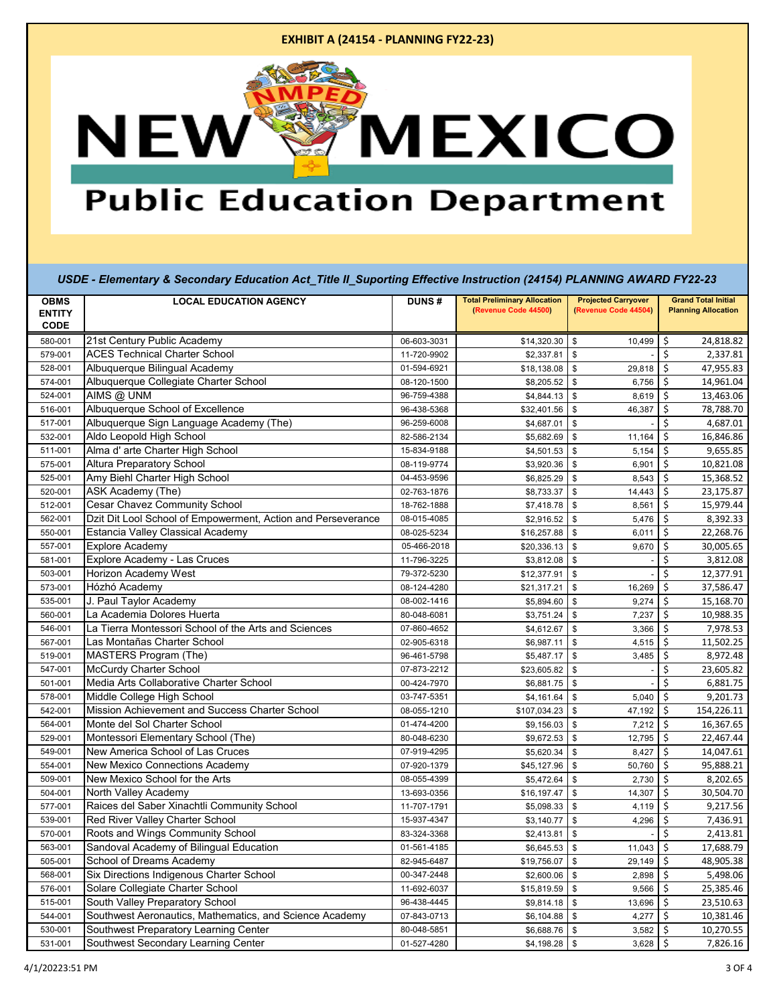| <b>OBMS</b><br><b>ENTITY</b> | <b>LOCAL EDUCATION AGENCY</b>                                | <b>DUNS#</b> | <b>Total Preliminary Allocation</b><br>(Revenue Code 44500) | <b>Projected Carryover</b><br>(Revenue Code 44504) | <b>Grand Total Initial</b><br><b>Planning Allocation</b> |
|------------------------------|--------------------------------------------------------------|--------------|-------------------------------------------------------------|----------------------------------------------------|----------------------------------------------------------|
| <b>CODE</b>                  |                                                              |              |                                                             |                                                    |                                                          |
| 580-001                      | 21st Century Public Academy                                  | 06-603-3031  | \$14,320.30                                                 | \$<br>10,499                                       | \$<br>24,818.82                                          |
| 579-001                      | <b>ACES Technical Charter School</b>                         | 11-720-9902  | \$2,337.81                                                  | $\mathfrak s$                                      | Ś<br>2,337.81                                            |
| 528-001                      | Albuquerque Bilingual Academy                                | 01-594-6921  | \$18,138.08                                                 | \$<br>29,818                                       | \$<br>47,955.83                                          |
| 574-001                      | Albuquerque Collegiate Charter School                        | 08-120-1500  | \$8,205.52                                                  | \$<br>6,756                                        | \$<br>14,961.04                                          |
| 524-001                      | AIMS @ UNM                                                   | 96-759-4388  | \$4,844.13                                                  | \$<br>8,619                                        | \$<br>13,463.06                                          |
| 516-001                      | Albuquerque School of Excellence                             | 96-438-5368  | \$32,401.56                                                 | $\,$<br>46,387                                     | \$<br>78,788.70                                          |
| 517-001                      | Albuquerque Sign Language Academy (The)                      | 96-259-6008  | \$4,687.01                                                  | \$                                                 | \$<br>4,687.01                                           |
| 532-001                      | Aldo Leopold High School                                     | 82-586-2134  | \$5,682.69                                                  | $\mathsf{\$}$<br>11,164                            | Ś<br>16,846.86                                           |
| 511-001                      | Alma d' arte Charter High School                             | 15-834-9188  | \$4,501.53                                                  | $\mathfrak{S}$<br>5,154                            | \$<br>9,655.85                                           |
| 575-001                      | <b>Altura Preparatory School</b>                             | 08-119-9774  | \$3,920.36                                                  | \$<br>6,901                                        | \$<br>10,821.08                                          |
| 525-001                      | Amy Biehl Charter High School                                | 04-453-9596  | \$6,825.29                                                  | \$<br>8,543                                        | \$<br>15,368.52                                          |
| 520-001                      | ASK Academy (The)                                            | 02-763-1876  | \$8,733.37                                                  | \$<br>14,443                                       | 23,175.87<br>\$                                          |
| 512-001                      | Cesar Chavez Community School                                | 18-762-1888  | \$7,418.78                                                  | \$<br>8,561                                        | \$<br>15,979.44                                          |
| 562-001                      | Dzit Dit Lool School of Empowerment, Action and Perseverance | 08-015-4085  | \$2,916.52                                                  | \$<br>5,476                                        | \$<br>8,392.33                                           |
| 550-001                      | Estancia Valley Classical Academy                            | 08-025-5234  | \$16,257.88                                                 | \$<br>6,011                                        | \$<br>22,268.76                                          |
| 557-001                      | <b>Explore Academy</b>                                       | 05-466-2018  | \$20,336.13                                                 | \$<br>9,670                                        | \$<br>30,005.65                                          |
| 581-001                      | Explore Academy - Las Cruces                                 | 11-796-3225  | \$3,812.08                                                  | \$                                                 | \$<br>3,812.08                                           |
| 503-001                      | Horizon Academy West                                         | 79-372-5230  | \$12,377.91                                                 | \$                                                 | \$<br>12,377.91                                          |
| 573-001                      | Hózhó Academy                                                | 08-124-4280  | \$21,317.21                                                 | \$<br>16,269                                       | \$<br>37,586.47                                          |
| 535-001                      | J. Paul Taylor Academy                                       | 08-002-1416  | \$5,894.60                                                  | \$<br>9,274                                        | \$<br>15,168.70                                          |
| 560-001                      | La Academia Dolores Huerta                                   | 80-048-6081  | \$3,751.24                                                  | \$<br>7,237                                        | \$<br>10,988.35                                          |
| 546-001                      | La Tierra Montessori School of the Arts and Sciences         | 07-860-4652  | \$4,612.67                                                  | \$<br>3,366                                        | \$<br>7,978.53                                           |
| 567-001                      | Las Montañas Charter School                                  | 02-905-6318  | \$6,987.11                                                  | \$<br>4,515                                        | \$<br>11,502.25                                          |
| 519-001                      | <b>MASTERS Program (The)</b>                                 | 96-461-5798  | \$5,487.17                                                  | \$<br>3,485                                        | \$<br>8,972.48                                           |
| 547-001                      | <b>McCurdy Charter School</b>                                | 07-873-2212  | \$23,605.82                                                 | \$                                                 | \$<br>23,605.82                                          |
| 501-001                      | Media Arts Collaborative Charter School                      | 00-424-7970  | \$6,881.75                                                  | \$                                                 | \$<br>6,881.75                                           |
| 578-001                      | Middle College High School                                   | 03-747-5351  | \$4,161.64                                                  | \$<br>5,040                                        | \$<br>9,201.73                                           |
| 542-001                      | Mission Achievement and Success Charter School               | 08-055-1210  | \$107,034.23                                                | \$<br>47,192                                       | \$<br>154,226.11                                         |
| 564-001                      | Monte del Sol Charter School                                 | 01-474-4200  | \$9,156.03                                                  | \$<br>7,212                                        | \$<br>16,367.65                                          |
| 529-001                      | Montessori Elementary School (The)                           | 80-048-6230  | \$9,672.53                                                  | \$<br>12,795                                       | \$<br>22,467.44                                          |
| 549-001                      | New America School of Las Cruces                             | 07-919-4295  | \$5,620.34                                                  | \$<br>8,427                                        | \$<br>14,047.61                                          |
| 554-001                      | New Mexico Connections Academy                               | 07-920-1379  | \$45,127.96                                                 | \$<br>50,760                                       | \$<br>95,888.21                                          |
| 509-001                      | New Mexico School for the Arts                               | 08-055-4399  | \$5,472.64                                                  | \$<br>2,730                                        | \$<br>8,202.65                                           |
| 504-001                      | North Valley Academy                                         | 13-693-0356  | \$16,197.47                                                 | \$<br>14,307                                       | \$<br>30,504.70                                          |
| 577-001                      | Raices del Saber Xinachtli Community School                  | 11-707-1791  | \$5,098.33                                                  | $\mathsf{\$}$<br>4,119                             | \$<br>$\overline{9,}217.56$                              |
| 539-001                      | Red River Valley Charter School                              | 15-937-4347  | \$3,140.77                                                  | \$<br>4,296                                        | \$<br>7,436.91                                           |
| 570-001                      | Roots and Wings Community School                             | 83-324-3368  | \$2,413.81                                                  | \$                                                 | \$<br>2,413.81                                           |
| 563-001                      | Sandoval Academy of Bilingual Education                      | 01-561-4185  | \$6,645.53                                                  | \$<br>11,043                                       | \$<br>17,688.79                                          |
| 505-001                      | School of Dreams Academy                                     | 82-945-6487  | \$19,756.07                                                 | \$<br>29,149                                       | \$<br>48,905.38                                          |
| 568-001                      | Six Directions Indigenous Charter School                     | 00-347-2448  | \$2,600.06                                                  | \$<br>2,898                                        | \$<br>5,498.06                                           |
| 576-001                      | Solare Collegiate Charter School                             | 11-692-6037  | \$15,819.59                                                 | \$<br>9,566                                        | \$<br>25,385.46                                          |
| 515-001                      | South Valley Preparatory School                              | 96-438-4445  | \$9,814.18                                                  | \$<br>13,696                                       | 23,510.63<br>\$                                          |
| 544-001                      | Southwest Aeronautics, Mathematics, and Science Academy      | 07-843-0713  | \$6,104.88                                                  | \$<br>4,277                                        | \$<br>10,381.46                                          |
| 530-001                      | Southwest Preparatory Learning Center                        | 80-048-5851  | \$6,688.76                                                  | \$<br>3,582                                        | \$<br>10,270.55                                          |
| 531-001                      | Southwest Secondary Learning Center                          | 01-527-4280  | $$4,198.28$ \$                                              | 3,628                                              | $\boldsymbol{\mathsf{S}}$<br>7,826.16                    |